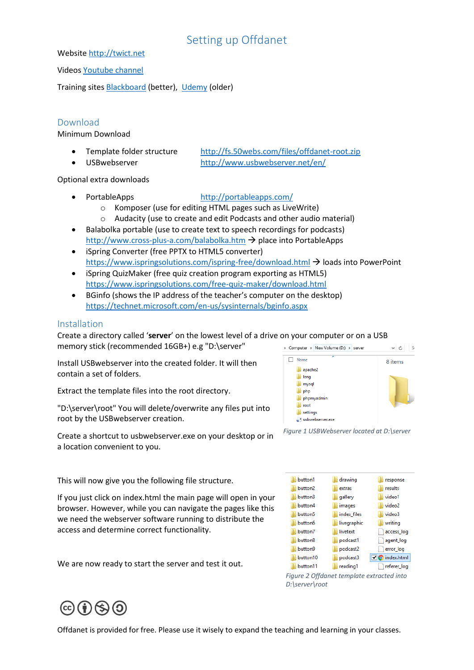# Setting up Offdanet

Websit[e http://twict.net](http://twict.net/)

Video[s Youtube channel](https://www.youtube.com/results?search_query=twictnet+offdanet)

Training sites [Blackboard](https://www.coursesites.com/webapps/Bb-sites-course-creation-BBLEARN/courseHomepage.htmlx?course_id=_397439_1) (better), [Udemy](https://www.udemy.com/offdanet) (older)

## Download

Minimum Download

- 
- 

 Template folder structure <http://fs.50webs.com/files/offdanet-root.zip> USBwebserver <http://www.usbwebserver.net/en/>

Optional extra downloads

## PortableApps <http://portableapps.com/>

- o Komposer (use for editing HTML pages such as LiveWrite)
- o Audacity (use to create and edit Podcasts and other audio material)
- Balabolka portable (use to create text to speech recordings for podcasts) <http://www.cross-plus-a.com/balabolka.htm>  $\rightarrow$  place into PortableApps
- iSpring Converter (free PPTX to HTML5 converter) <https://www.ispringsolutions.com/ispring-free/download.html>  $\rightarrow$  loads into PowerPoint
- iSpring QuizMaker (free quiz creation program exporting as HTML5) <https://www.ispringsolutions.com/free-quiz-maker/download.html>
- BGinfo (shows the IP address of the teacher's computer on the desktop) <https://technet.microsoft.com/en-us/sysinternals/bginfo.aspx>

#### Installation

Create a directory called '**server**' on the lowest level of a drive on your computer or on a USB memory stick (recommended 16GB+) e.g "D:\server" > Computer > New Volume (D:) > server

Install USBwebserver into the created folder. It will then contain a set of folders.

Extract the template files into the root directory.

"D:\server\root" You will delete/overwrite any files put into root by the USBwebserver creation.

Create a shortcut to usbwebserver.exe on your desktop or in a location convenient to you.

This will now give you the following file structure.

If you just click on index.html the main page will open in your browser. However, while you can navigate the pages like this we need the webserver software running to distribute the access and determine correct functionality.

We are now ready to start the server and test it out.







*Figure 2 Offdanet template extracted into D:\server\root*

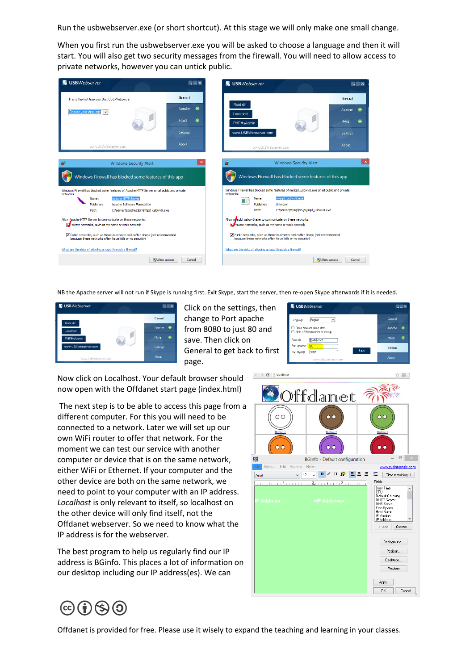Run the usbwebserver.exe (or short shortcut). At this stage we will only make one small change.

When you first run the usbwebserver.exe you will be asked to choose a language and then it will start. You will also get two security messages from the firewall. You will need to allow access to private networks, however you can untick public.



NB the Apache server will not run if Skype is running first. Exit Skype, start the server, then re-open Skype afterwards if it is needed.



Click on the settings, then change to Port apache from 8080 to just 80 and save. Then click on General to get back to first page.

Now click on Localhost. Your default browser should now open with the Offdanet start page (index.html)

The next step is to be able to access this page from a different computer. For this you will need to be connected to a network. Later we will set up our own WiFi router to offer that network. For the moment we can test our service with another computer or device that is on the same network, either WiFi or Ethernet. If your computer and the other device are both on the same network, we need to point to your computer with an IP address. *Localhost* is only relevant to itself, so localhost on the other device will only find itself, not the Offdanet webserver. So we need to know what the IP address is for the webserver.

The best program to help us regularly find our IP address is BGinfo. This places a lot of information on our desktop including our IP address(es). We can



**N** USBWebserve

Language English

-<br>Root di

Port anache

Port MySQL 3307

O Open browser when start<br>O Hide USBWebserver at startun

path}/roc

 $\overline{\phantom{a}}$ 

**IT EX** 

General

Anache **O** 

Mysql <sup>@</sup>

Setting

Save 1

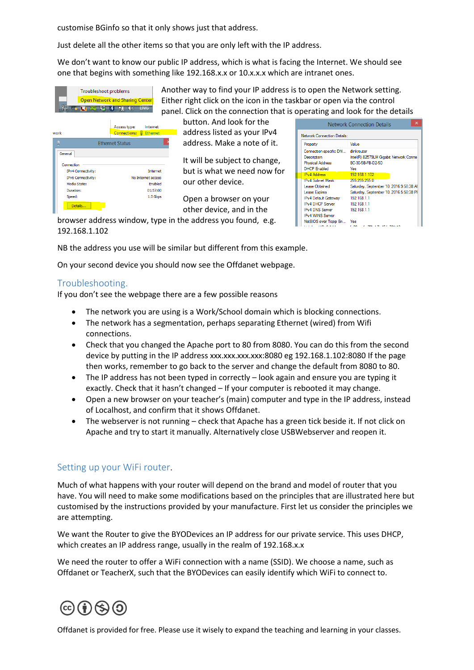customise BGinfo so that it only shows just that address.

Just delete all the other items so that you are only left with the IP address.

We don't want to know our public IP address, which is what is facing the Internet. We should see one that begins with something like 192.168.x.x or 10.x.x.x which are intranet ones.

| 阳                                        |         |  | Troubleshoot problems<br><b>Open Network and Sharing Center</b><br>ill<br>IЖ | $\mathbb{I}(2)$ | <b>ENG</b>                  | Ano<br>Eith |
|------------------------------------------|---------|--|------------------------------------------------------------------------------|-----------------|-----------------------------|-------------|
| work                                     |         |  | Access type:<br><b>Connections:</b>                                          |                 | Internet<br><b>Ethernet</b> |             |
| 画                                        |         |  | <b>Ethernet Status</b>                                                       |                 |                             |             |
| General                                  |         |  |                                                                              |                 |                             |             |
| Connection                               |         |  |                                                                              |                 | <b>Internet</b>             |             |
| IPv4 Connectivity:<br>IPv6 Connectivity: |         |  | No Internet access                                                           |                 |                             |             |
| Media State:                             |         |  | Enabled                                                                      |                 |                             |             |
| Duration:                                |         |  | 01:57:00                                                                     |                 |                             |             |
| Speed:                                   |         |  | 1.0 Gbps                                                                     |                 |                             |             |
|                                          | Details |  |                                                                              |                 |                             |             |

other way to find your IP address is to open the Network setting. her right click on the icon in the taskbar or open via the control nel. Click on the connection that is operating and look for the details

button. And look for the address listed as your IPv4 address. Make a note of it.

It will be subject to change, but is what we need now for our other device.

Open a browser on your other device, and in the

| ×<br><b>Network Connection Details</b>                                                                                                                                    |                                                                                                                                                   |  |  |  |  |  |
|---------------------------------------------------------------------------------------------------------------------------------------------------------------------------|---------------------------------------------------------------------------------------------------------------------------------------------------|--|--|--|--|--|
| <b>Network Connection Details:</b>                                                                                                                                        |                                                                                                                                                   |  |  |  |  |  |
| Property                                                                                                                                                                  | Value                                                                                                                                             |  |  |  |  |  |
| Connection-specific DN<br>Description<br><b>Physical Address</b><br><b>DHCP Enabled</b>                                                                                   | dlinkrouter<br>Intel(R) 82579LM Gigabit Network Conne<br>BC-30-5B-FB-D2-5D<br>Yes                                                                 |  |  |  |  |  |
| <b>IPv4 Address</b>                                                                                                                                                       | 192 168 1 102                                                                                                                                     |  |  |  |  |  |
| <b>IPv4 Subnet Mask</b><br>Lease Obtained<br><b>Lease Expires</b><br>IPv4 Default Gateway<br><b>IPv4 DHCP Server</b><br><b>IPv4 DNS Server</b><br><b>IPv4 WINS Server</b> | 255.255.255.0<br>Saturday, September 10, 2016 9:58:38 All<br>Saturday, September 10, 2016 5:58:38 PI<br>192 168 1 1<br>192.168.1.1<br>192.168.1.1 |  |  |  |  |  |
| NetBIOS over Topip En<br>                                                                                                                                                 | Yes                                                                                                                                               |  |  |  |  |  |

browser address window, type in the address you found, e.g. 192.168.1.102

NB the address you use will be similar but different from this example.

On your second device you should now see the Offdanet webpage.

#### Troubleshooting.

If you don't see the webpage there are a few possible reasons

- The network you are using is a Work/School domain which is blocking connections.
- The network has a segmentation, perhaps separating Ethernet (wired) from Wifi connections.
- Check that you changed the Apache port to 80 from 8080. You can do this from the second device by putting in the IP address xxx.xxx.xxx.xxx:8080 eg 192.168.1.102:8080 If the page then works, remember to go back to the server and change the default from 8080 to 80.
- The IP address has not been typed in correctly look again and ensure you are typing it exactly. Check that it hasn't changed – If your computer is rebooted it may change.
- Open a new browser on your teacher's (main) computer and type in the IP address, instead of Localhost, and confirm that it shows Offdanet.
- The webserver is not running check that Apache has a green tick beside it. If not click on Apache and try to start it manually. Alternatively close USBWebserver and reopen it.

#### Setting up your WiFi router.

Much of what happens with your router will depend on the brand and model of router that you have. You will need to make some modifications based on the principles that are illustrated here but customised by the instructions provided by your manufacture. First let us consider the principles we are attempting.

We want the Router to give the BYODevices an IP address for our private service. This uses DHCP, which creates an IP address range, usually in the realm of 192.168.x.x

We need the router to offer a WiFi connection with a name (SSID). We choose a name, such as Offdanet or TeacherX, such that the BYODevices can easily identify which WiFi to connect to.

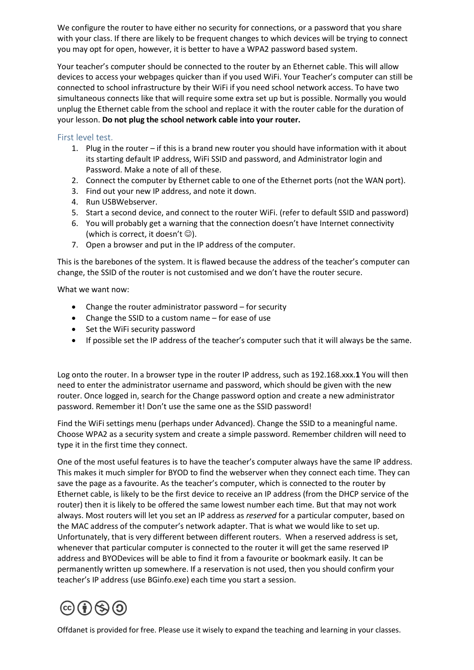We configure the router to have either no security for connections, or a password that you share with your class. If there are likely to be frequent changes to which devices will be trying to connect you may opt for open, however, it is better to have a WPA2 password based system.

Your teacher's computer should be connected to the router by an Ethernet cable. This will allow devices to access your webpages quicker than if you used WiFi. Your Teacher's computer can still be connected to school infrastructure by their WiFi if you need school network access. To have two simultaneous connects like that will require some extra set up but is possible. Normally you would unplug the Ethernet cable from the school and replace it with the router cable for the duration of your lesson. **Do not plug the school network cable into your router.**

## First level test.

- 1. Plug in the router if this is a brand new router you should have information with it about its starting default IP address, WiFi SSID and password, and Administrator login and Password. Make a note of all of these.
- 2. Connect the computer by Ethernet cable to one of the Ethernet ports (not the WAN port).
- 3. Find out your new IP address, and note it down.
- 4. Run USBWebserver.
- 5. Start a second device, and connect to the router WiFi. (refer to default SSID and password)
- 6. You will probably get a warning that the connection doesn't have Internet connectivity (which is correct, it doesn't  $\circledcirc$ ).
- 7. Open a browser and put in the IP address of the computer.

This is the barebones of the system. It is flawed because the address of the teacher's computer can change, the SSID of the router is not customised and we don't have the router secure.

What we want now:

- Change the router administrator password for security
- Change the SSID to a custom name for ease of use
- Set the WiFi security password
- If possible set the IP address of the teacher's computer such that it will always be the same.

Log onto the router. In a browser type in the router IP address, such as 192.168.xxx.**1** You will then need to enter the administrator username and password, which should be given with the new router. Once logged in, search for the Change password option and create a new administrator password. Remember it! Don't use the same one as the SSID password!

Find the WiFi settings menu (perhaps under Advanced). Change the SSID to a meaningful name. Choose WPA2 as a security system and create a simple password. Remember children will need to type it in the first time they connect.

One of the most useful features is to have the teacher's computer always have the same IP address. This makes it much simpler for BYOD to find the webserver when they connect each time. They can save the page as a favourite. As the teacher's computer, which is connected to the router by Ethernet cable, is likely to be the first device to receive an IP address (from the DHCP service of the router) then it is likely to be offered the same lowest number each time. But that may not work always. Most routers will let you set an IP address as *reserved* for a particular computer, based on the MAC address of the computer's network adapter. That is what we would like to set up. Unfortunately, that is very different between different routers. When a reserved address is set, whenever that particular computer is connected to the router it will get the same reserved IP address and BYODevices will be able to find it from a favourite or bookmark easily. It can be permanently written up somewhere. If a reservation is not used, then you should confirm your teacher's IP address (use BGinfo.exe) each time you start a session.

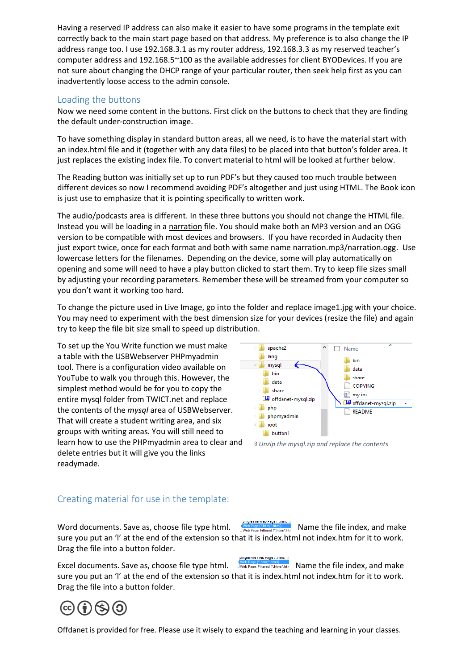Having a reserved IP address can also make it easier to have some programs in the template exit correctly back to the main start page based on that address. My preference is to also change the IP address range too. I use 192.168.3.1 as my router address, 192.168.3.3 as my reserved teacher's computer address and 192.168.5~100 as the available addresses for client BYODevices. If you are not sure about changing the DHCP range of your particular router, then seek help first as you can inadvertently loose access to the admin console.

# Loading the buttons

Now we need some content in the buttons. First click on the buttons to check that they are finding the default under-construction image.

To have something display in standard button areas, all we need, is to have the material start with an index.html file and it (together with any data files) to be placed into that button's folder area. It just replaces the existing index file. To convert material to html will be looked at further below.

The Reading button was initially set up to run PDF's but they caused too much trouble between different devices so now I recommend avoiding PDF's altogether and just using HTML. The Book icon is just use to emphasize that it is pointing specifically to written work.

The audio/podcasts area is different. In these three buttons you should not change the HTML file. Instead you will be loading in a narration file. You should make both an MP3 version and an OGG version to be compatible with most devices and browsers. If you have recorded in Audacity then just export twice, once for each format and both with same name narration.mp3/narration.ogg. Use lowercase letters for the filenames. Depending on the device, some will play automatically on opening and some will need to have a play button clicked to start them. Try to keep file sizes small by adjusting your recording parameters. Remember these will be streamed from your computer so you don't want it working too hard.

To change the picture used in Live Image, go into the folder and replace image1.jpg with your choice. You may need to experiment with the best dimension size for your devices (resize the file) and again try to keep the file bit size small to speed up distribution.

To set up the You Write function we must make a table with the USBWebserver PHPmyadmin tool. There is a configuration video available on YouTube to walk you through this. However, the simplest method would be for you to copy the entire mysql folder from TWICT.net and replace the contents of the *mysql* area of USBWebserver. That will create a student writing area, and six groups with writing areas. You will still need to learn how to use the PHPmyadmin area to clear and delete entries but it will give you the links readymade.





# Creating material for use in the template:

Word documents. Save as, choose file type html. Name the the save reged at man and make the same the file index, and make sure you put an 'l' at the end of the extension so that it is index.html not index.htm for it to work. Drag the file into a button folder.

omgie nije vveo Page ( umit Excel documents. Save as, choose file type html.  $\frac{1}{1000}$  Page Filtered Chinos hand **Name the file index**, and make sure you put an 'l' at the end of the extension so that it is index.html not index.htm for it to work. Drag the file into a button folder.